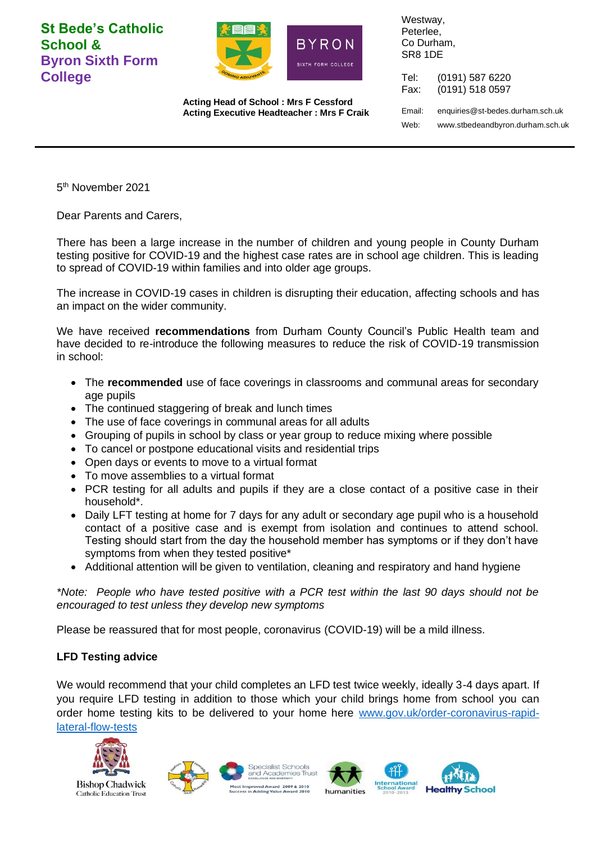**St Bede's Catholic School & Byron Sixth Form College**



**Acting Head of School : Mrs F Cessford Acting Executive Headteacher : Mrs F Craik** Westway, Peterlee, Co Durham, SR8 1DE

Tel: (0191) 587 6220 Fax: (0191) 518 0597 Email: enquiries@st-bedes.durham.sch.uk Web: www.stbedeandbyron.durham.sch.uk

5 th November 2021

Dear Parents and Carers,

There has been a large increase in the number of children and young people in County Durham testing positive for COVID-19 and the highest case rates are in school age children. This is leading to spread of COVID-19 within families and into older age groups.

The increase in COVID-19 cases in children is disrupting their education, affecting schools and has an impact on the wider community.

We have received **recommendations** from Durham County Council's Public Health team and have decided to re-introduce the following measures to reduce the risk of COVID-19 transmission in school:

- The **recommended** use of face coverings in classrooms and communal areas for secondary age pupils
- The continued staggering of break and lunch times
- The use of face coverings in communal areas for all adults
- Grouping of pupils in school by class or year group to reduce mixing where possible
- To cancel or postpone educational visits and residential trips
- Open days or events to move to a virtual format
- To move assemblies to a virtual format
- PCR testing for all adults and pupils if they are a close contact of a positive case in their household\*.
- Daily LFT testing at home for 7 days for any adult or secondary age pupil who is a household contact of a positive case and is exempt from isolation and continues to attend school. Testing should start from the day the household member has symptoms or if they don't have symptoms from when they tested positive\*
- Additional attention will be given to ventilation, cleaning and respiratory and hand hygiene

*\*Note: People who have tested positive with a PCR test within the last 90 days should not be encouraged to test unless they develop new symptoms*

Please be reassured that for most people, coronavirus (COVID-19) will be a mild illness.

## **LFD Testing advice**

We would recommend that your child completes an LFD test twice weekly, ideally 3-4 days apart. If you require LFD testing in addition to those which your child brings home from school you can order home testing kits to be delivered to your home here [www.gov.uk/order-coronavirus-rapid](http://www.gov.uk/order-coronavirus-rapid-lateral-flow-tests)[lateral-flow-tests](http://www.gov.uk/order-coronavirus-rapid-lateral-flow-tests)